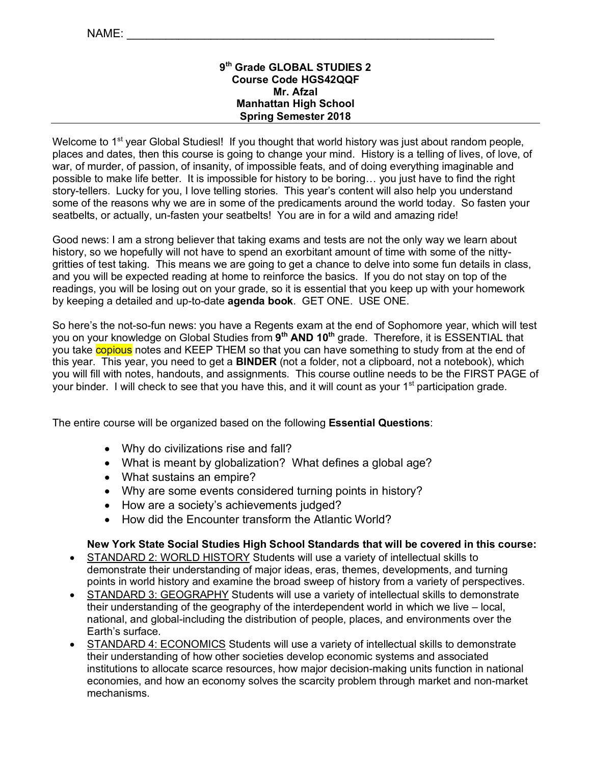## **9th Grade GLOBAL STUDIES 2 Course Code HGS42QQF Mr. Afzal Manhattan High School Spring Semester 2018**

Welcome to  $1<sup>st</sup>$  year Global Studies!! If you thought that world history was just about random people, places and dates, then this course is going to change your mind. History is a telling of lives, of love, of war, of murder, of passion, of insanity, of impossible feats, and of doing everything imaginable and possible to make life better. It is impossible for history to be boring… you just have to find the right story-tellers. Lucky for you, I love telling stories. This year's content will also help you understand some of the reasons why we are in some of the predicaments around the world today. So fasten your seatbelts, or actually, un-fasten your seatbelts! You are in for a wild and amazing ride!

Good news: I am a strong believer that taking exams and tests are not the only way we learn about history, so we hopefully will not have to spend an exorbitant amount of time with some of the nittygritties of test taking. This means we are going to get a chance to delve into some fun details in class, and you will be expected reading at home to reinforce the basics. If you do not stay on top of the readings, you will be losing out on your grade, so it is essential that you keep up with your homework by keeping a detailed and up-to-date **agenda book**. GET ONE. USE ONE.

So here's the not-so-fun news: you have a Regents exam at the end of Sophomore year, which will test you on your knowledge on Global Studies from **9th AND 10th** grade. Therefore, it is ESSENTIAL that you take copious notes and KEEP THEM so that you can have something to study from at the end of this year. This year, you need to get a **BINDER** (not a folder, not a clipboard, not a notebook), which you will fill with notes, handouts, and assignments. This course outline needs to be the FIRST PAGE of your binder. I will check to see that you have this, and it will count as your 1<sup>st</sup> participation grade.

The entire course will be organized based on the following **Essential Questions**:

- Why do civilizations rise and fall?
- What is meant by globalization? What defines a global age?
- What sustains an empire?
- Why are some events considered turning points in history?
- How are a society's achievements judged?
- How did the Encounter transform the Atlantic World?

# **New York State Social Studies High School Standards that will be covered in this course:**

- STANDARD 2: WORLD HISTORY Students will use a variety of intellectual skills to demonstrate their understanding of major ideas, eras, themes, developments, and turning points in world history and examine the broad sweep of history from a variety of perspectives.
- STANDARD 3: GEOGRAPHY Students will use a variety of intellectual skills to demonstrate their understanding of the geography of the interdependent world in which we live – local, national, and global-including the distribution of people, places, and environments over the Earth's surface.
- STANDARD 4: ECONOMICS Students will use a variety of intellectual skills to demonstrate their understanding of how other societies develop economic systems and associated institutions to allocate scarce resources, how major decision-making units function in national economies, and how an economy solves the scarcity problem through market and non-market mechanisms.